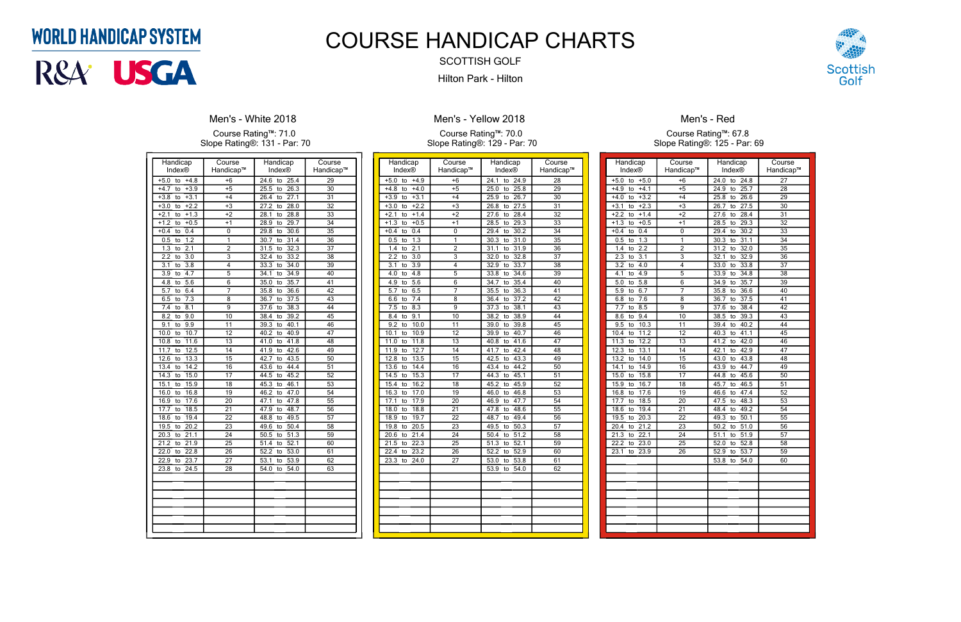| Handicap                                   | Course          | Handicap                        | Course          |
|--------------------------------------------|-----------------|---------------------------------|-----------------|
| Index®                                     | Handicap™       | Index <sup>®</sup>              | Handicap™       |
| $+5.0$<br>$+4.8$<br>to                     | $+6$            | 24.6<br>25.4<br>to              | $\overline{29}$ |
| $+4.7$<br>$+3.9$<br>to                     | $+5$            | 26.3<br>25.5<br>to              | $\overline{30}$ |
| $+3.1$<br>$+3.8$<br>to                     | $+4$            | $\overline{27.1}$<br>26.4<br>to | $\overline{31}$ |
| $+3.0$<br>$+2.2$<br>to                     | $+3$            | 28.0<br>27.2<br>to              | $\overline{32}$ |
| $+1.3$<br>$+2.1$<br>to                     | $+2$            | 28.8<br>28.1<br>to              | $\overline{33}$ |
| $+1.2$<br>$+0.5$<br>to                     | $+1$            | 29.7<br>28.9<br>to              | 34              |
| $+0.4$<br>0.4<br>to                        | 0               | 29.8<br>30.6<br>to              | 35              |
| 1.2<br>0.5<br>to                           | 1               | 30.7<br>31.4<br>to              | 36              |
| 1.3<br>2.1<br>to                           | $\overline{2}$  | 31.5<br>32.3<br>to              | 37              |
| $\overline{2.2}$<br>$\overline{3.0}$<br>to | $\overline{3}$  | 33.2<br>32.4<br>to              | $\overline{38}$ |
| 3.1<br>$\overline{3.8}$<br>to              | 4               | 34.0<br>33.3<br>to              | 39              |
| 3.9<br>4.7<br>to                           | 5               | 34.1<br>34.9<br>to              | 40              |
| 4.8<br>5.6<br>to                           | 6               | 35.0<br>35.7<br>to              | 41              |
| 5.7<br>6.4<br>to                           | 7               | 36.6<br>35.8<br>to              | 42              |
| 7.3<br>6.5<br>to                           | 8               | 37.5<br>36.7<br>to              | $\overline{43}$ |
| 7.4<br>8.1<br>to                           | 9               | 37.6<br>38.3<br>to              | 44              |
| 8.2<br>9.0<br>to                           | 10              | 39.2<br>38.4<br>to              | 45              |
| 9.1<br>9.9<br>to                           | 11              | 40.1<br>39.3<br>to              | 46              |
| 10.7<br>10.0<br>to                         | 12              | 40.2<br>40.9<br>to              | 47              |
| 11.6<br>10.8<br>to                         | 13              | 41.8<br>41.0<br>to              | 48              |
| 11.7<br>12.5<br>to                         | 14              | 42.6<br>41.9<br>to              | 49              |
| 12.6<br>13.3<br>to                         | 15              | 43.5<br>42.7<br>to              | 50              |
| 14.2<br>13.4<br>to                         | 16              | 44.4<br>43.6<br>to              | 51              |
| 15.0<br>14.3<br>to                         | $\overline{17}$ | 45.2<br>44.5<br>to              | 52              |
| 15.9<br>15.1<br>to                         | $\overline{18}$ | 46.1<br>45.3<br>to              | $\overline{53}$ |
| 16.8<br>16.0<br>to                         | 19              | 47.0<br>46.2<br>to              | 54              |
| 17.6<br>16.9<br>to                         | 20              | 47.8<br>47.1<br>to              | 55              |
| 18.5<br>17.7<br>to                         | 21              | 48.7<br>47.9<br>to              | 56              |
| 19.4<br>18.6<br>to                         | 22              | 49.5<br>48.8<br>to              | 57              |
| 19.5<br>20.2<br>to                         | 23              | 49.6<br>50.4<br>to              | 58              |
| 20.3<br>21.1<br>to                         | 24              | 50.5<br>51.3<br>to              | 59              |
| 21.2<br>21.9<br>to                         | $\overline{25}$ | 52.1<br>51.4<br>to              | 60              |
| 22.8<br>22.0<br>to                         | 26              | 53.0<br>52.2<br>to              | 61              |
| 22.9<br>23.7<br>to                         | 27              | 53.1<br>53.9<br>to              | 62              |
| 23.8<br>24.5<br>to                         | 28              | 54.0<br>54.0<br>to              | $\overline{63}$ |
|                                            |                 |                                 |                 |
|                                            |                 |                                 |                 |
|                                            |                 |                                 |                 |
|                                            |                 |                                 |                 |
|                                            |                 |                                 |                 |
|                                            |                 |                                 |                 |
|                                            |                 |                                 |                 |
|                                            |                 |                                 |                 |

### **Men's - White 2018**

Course Rating™: 71.0 Slope Rating®: 131 - Par: 70

| Handicap                        | Course          | Handicap                        | Course          |
|---------------------------------|-----------------|---------------------------------|-----------------|
| Index®                          | Handicap™       | Index®                          | Handicap™       |
| $+5.0$<br>$+4.9$<br>to          | $+6$            | 24.1<br>24.9<br>to              | $\overline{28}$ |
| $+4.8$<br>$+4.0$<br>to          | $+5$            | 25.8<br>25.0<br>to              | 29              |
| $+3.9$<br>$+3.1$<br>to          | $+4$            | 26.7<br>25.9<br>to              | $\overline{30}$ |
| $+3.0$<br>$+2.2$<br>to          | $+3$            | 27.5<br>26.8<br>to              | $\overline{31}$ |
| $+2.1$<br>$+1.4$<br>to          | $+2$            | 28.4<br>27.6<br>to              | $\overline{32}$ |
| $+1.3$<br>$+0.5$<br>to          | $+1$            | 28.5<br>29.3<br>to              | $\overline{33}$ |
| 0.4<br>$+0.4$<br>to             | $\mathbf 0$     | 30.2<br>29.4<br>to              | 34              |
| 1.3<br>0.5<br>to                | 1               | 30.3<br>31.0<br>to              | $\overline{35}$ |
| 2.1<br>1.4<br>to                | $\overline{2}$  | 31.1<br>31.9<br>to              | 36              |
| 2.2<br>$\overline{3.0}$<br>to   | $\overline{3}$  | 32.8<br>32.0<br>to              | $\overline{37}$ |
| 3.1<br>3.9<br>to                | 4               | 33.7<br>32.9<br>to              | 38              |
| 4.0<br>4.8<br>to                | $\overline{5}$  | 33.8<br>34.6<br>to              | $\overline{39}$ |
| 4.9<br>5.6<br>to                | 6               | 35.4<br>34.7<br>to              | 40              |
| 5.7<br>6.5<br>to                | 7               | 35.5<br>36.3<br>to              | 41              |
| 6.6<br>7.4<br>to                | 8               | 36.4<br>37.2<br>to              | $\overline{42}$ |
| 8.3<br>7.5<br>to                | 9               | 38.1<br>37.3<br>to              | 43              |
| 8.4<br>9.1<br>to                | 10              | 38.2<br>38.9<br>to              | 44              |
| 9.2<br>10.0<br>to               | 11              | 39.8<br>39.0<br>to              | 45              |
| 10.1<br>10.9<br>to              | 12              | 40.7<br>39.9<br>to              | 46              |
| 11.0<br>11.8<br>to              | 13              | 41.6<br>40.8<br>to              | 47              |
| 12.7<br>11.9<br>to              | 14              | 42.4<br>41.7<br>to              | $\overline{48}$ |
| 13.5<br>12.8<br>to              | $\overline{15}$ | 43.3<br>42.5<br>to              | 49              |
| 13.6<br>14.4<br>to              | $\overline{16}$ | 43.4<br>44.2<br>to              | 50              |
| 14.5<br>15.3<br>to              | 17              | 44.3<br>to<br>45.1              | $\overline{51}$ |
| 16.2<br>15.4<br>to              | 18              | 45.9<br>45.2<br>to              | $\overline{52}$ |
| 16.3<br>17.0<br>to              | 19              | 46.0<br>46.8<br>to              | 53              |
| 17.1<br>17.9<br>to              | $\overline{20}$ | 46.9<br>47.7<br>to              | $\overline{54}$ |
| 18.0<br>18.8<br>to              | 21              | 48.6<br>47.8<br>to              | $\overline{55}$ |
| 18.9<br>19.7<br>to              | $\overline{22}$ | 48.7<br>49.4<br>to              | $\overline{56}$ |
| 19.8<br>20.5<br>to              | $\overline{23}$ | 49.5<br>50.3<br>to              | $\overline{57}$ |
| 21.4<br>20.6<br>to              | 24              | 51.2<br>50.4<br>to              | $\overline{58}$ |
| 21.5<br>22.3<br>to              | $\overline{25}$ | $\overline{52.1}$<br>51.3<br>to | $\overline{59}$ |
| $22.\overline{4}$<br>23.2<br>to | 26              | $52.\overline{2}$<br>52.9<br>to | 60              |
| 23.3<br>24.0<br>to              | 27              | 53.0<br>53.8<br>to              | 61              |
|                                 |                 | 53.9<br>54.0<br>to              | 62              |
|                                 |                 |                                 |                 |
|                                 |                 |                                 |                 |
|                                 |                 |                                 |                 |
|                                 |                 |                                 |                 |
|                                 |                 |                                 |                 |
|                                 |                 |                                 |                 |
|                                 |                 |                                 |                 |

## **Men's - Yellow 2018**

#### Course Rating™: 70.0 Slope Rating®: 129 - Par: 70

| Handicap                      | Course          | Handicap                        | Course          |
|-------------------------------|-----------------|---------------------------------|-----------------|
| Index®                        | Handicap™       | Index®                          | Handicap™       |
| $+5.0$<br>$+5.0$<br>to        | $+6$            | 24.0<br>to<br>24.8              | 27              |
| $+4.9$<br>$+4.1$<br>to        | $+5$            | 24.9<br>25.7<br>to              | 28              |
| $+3.2$<br>$+4.0$<br>to        | $+4$            | 26.6<br>25.8<br>to              | 29              |
| $+3.1$<br>$+2.3$<br>to        | +3              | 27.5<br>26.7<br>to              | 30              |
| $+2.2$<br>$+1.4$<br>to        | $+2$            | 28.4<br>27.6<br>to              | 31              |
| $+0.5$<br>$+1.3$<br>to        | $+1$            | 29.3<br>28.5<br>to              | 32              |
| $+0.4$<br>0.4<br>to           | 0               | 29.4<br>30.2<br>to              | 33              |
| 0.5<br>1.3<br>to              | 1               | 30.3<br>31.1<br>to              | 34              |
| 1.4<br>2.2<br>to              | $\overline{2}$  | 32.0<br>31.2<br>to              | $\overline{35}$ |
| 2.3<br>3.1<br>to              | $\overline{3}$  | 32.1<br>32.9<br>to              | 36              |
| $\overline{3.2}$<br>4.0<br>to | 4               | 33.0<br>33.8<br>to              | $\overline{37}$ |
| 4.1<br>4.9<br>to              | 5               | 33.9<br>34.8<br>to              | 38              |
|                               |                 |                                 | 39              |
| 5.0<br>5.8<br>to              | 6<br>7          | 34.9<br>35.7<br>to              |                 |
| 5.9<br>6.7<br>to              |                 | 36.6<br>35.8<br>to              | 40              |
| $6.\overline{8}$<br>7.6<br>to | 8               | 36.7<br>$\overline{37.5}$<br>to | 41              |
| 7.7<br>8.5<br>to              | $\overline{9}$  | 37.6<br>38.4<br>to              | $\overline{42}$ |
| 9.4<br>8.6<br>to              | 10              | 39.3<br>38.5<br>to              | 43              |
| 10.3<br>9.5<br>to             | 11              | 40.2<br>39.4<br>to              | 44              |
| 11.2<br>10.4<br>to            | 12              | 40.3<br>41.1<br>to              | 45              |
| 12.2<br>11.3<br>to            | 13              | 42.0<br>41.2<br>to              | 46              |
| 12.3<br>13.1<br>to            | 14              | 42.1<br>42.9<br>to              | 47              |
| 13.2<br>14.0<br>to            | 15              | 43.8<br>43.0<br>to              | 48              |
| 14.9<br>14.1<br>to            | 16              | 43.9<br>44.7<br>to              | 49              |
| 15.0<br>15.8<br>to            | 17              | 44.8<br>45.6<br>to              | 50              |
| 15.9<br>16.7<br>to            | 18              | 45.7<br>46.5<br>to              | $\overline{51}$ |
| 17.6<br>16.8<br>to            | 19              | 47.4<br>46.6<br>to              | 52              |
| 17.7<br>18.5<br>to            | 20              | 47.5<br>48.3<br>to              | $\overline{53}$ |
| 18.6<br>19.4<br>to            | 21              | 48.4<br>49.2<br>to              | 54              |
| 19.5<br>20.3<br>to            | 22              | 49.3<br>50.1<br>to              | 55              |
| 20.4<br>21.2<br>to            | $\overline{23}$ | 50.2<br>51.0<br>to              | 56              |
| 21.3<br>22.1<br>to            | 24              | 51.1<br>51.9<br>to              | 57              |
| 22.2<br>23.0<br>to            | 25              | 52.8<br>52.0<br>to              | 58              |
| 23.1<br>23.9<br>to            | $\overline{26}$ | 53.7<br>52.9<br>to              | 59              |
|                               |                 | 53.8<br>54.0<br>to              | 60              |
|                               |                 |                                 |                 |
|                               |                 |                                 |                 |
|                               |                 |                                 |                 |
|                               |                 |                                 |                 |
|                               |                 |                                 |                 |
|                               |                 |                                 |                 |
|                               |                 |                                 |                 |
|                               |                 |                                 |                 |
|                               |                 |                                 |                 |



## Men's - Red

Course Rating™: 67.8 Slope Rating®: 125 - Par: 69

# **WORLD HANDICAP SYSTEM**



# COURSE HANDICAP CHARTS

SCOTTISH GOLF Hilton Park - Hilton